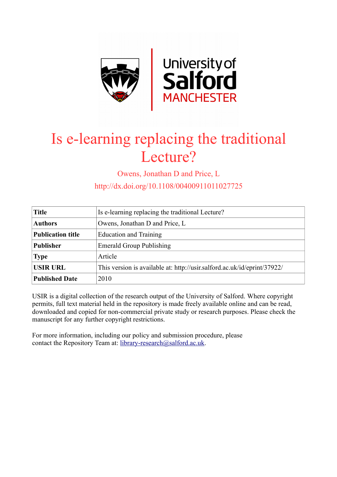

# Is e-learning replacing the traditional Lecture?

Owens, Jonathan D and Price, L

http://dx.doi.org/10.1108/00400911011027725

| <b>Title</b>             | Is e-learning replacing the traditional Lecture?                         |
|--------------------------|--------------------------------------------------------------------------|
| <b>Authors</b>           | Owens, Jonathan D and Price, L                                           |
| <b>Publication title</b> | <b>Education and Training</b>                                            |
| <b>Publisher</b>         | <b>Emerald Group Publishing</b>                                          |
| <b>Type</b>              | Article                                                                  |
| <b>USIR URL</b>          | This version is available at: http://usir.salford.ac.uk/id/eprint/37922/ |
| <b>Published Date</b>    | 2010                                                                     |

USIR is a digital collection of the research output of the University of Salford. Where copyright permits, full text material held in the repository is made freely available online and can be read, downloaded and copied for non-commercial private study or research purposes. Please check the manuscript for any further copyright restrictions.

For more information, including our policy and submission procedure, please contact the Repository Team at: [library-research@salford.ac.uk.](mailto:library-research@salford.ac.uk)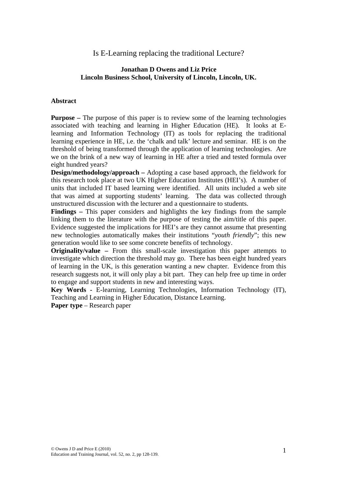Is E-Learning replacing the traditional Lecture?

# **Jonathan D Owens and Liz Price Lincoln Business School, University of Lincoln, Lincoln, UK.**

## **Abstract**

**Purpose** – The purpose of this paper is to review some of the learning technologies associated with teaching and learning in Higher Education (HE). It looks at Elearning and Information Technology (IT) as tools for replacing the traditional learning experience in HE, i.e. the 'chalk and talk' lecture and seminar. HE is on the threshold of being transformed through the application of learning technologies. Are we on the brink of a new way of learning in HE after a tried and tested formula over eight hundred years?

**Design/methodology/approach –** Adopting a case based approach, the fieldwork for this research took place at two UK Higher Education Institutes (HEI's). A number of units that included IT based learning were identified. All units included a web site that was aimed at supporting students' learning. The data was collected through unstructured discussion with the lecturer and a questionnaire to students.

**Findings –** This paper considers and highlights the key findings from the sample linking them to the literature with the purpose of testing the aim/title of this paper. Evidence suggested the implications for HEI's are they cannot assume that presenting new technologies automatically makes their institutions "*youth friendly*"; this new generation would like to see some concrete benefits of technology.

**Originality/value –** From this small-scale investigation this paper attempts to investigate which direction the threshold may go. There has been eight hundred years of learning in the UK, is this generation wanting a new chapter. Evidence from this research suggests not, it will only play a bit part. They can help free up time in order to engage and support students in new and interesting ways.

**Key Words -** E-learning, Learning Technologies, Information Technology (IT), Teaching and Learning in Higher Education, Distance Learning.

**Paper type** – Research paper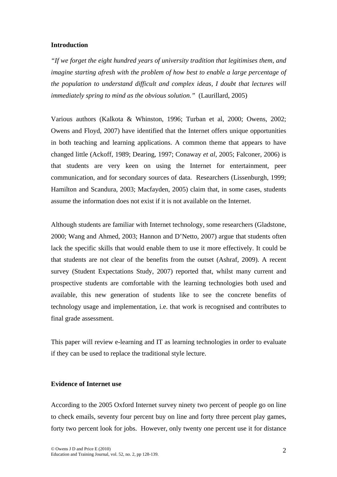#### **Introduction**

*"If we forget the eight hundred years of university tradition that legitimises them, and imagine starting afresh with the problem of how best to enable a large percentage of the population to understand difficult and complex ideas, I doubt that lectures will immediately spring to mind as the obvious solution."* (Laurillard, 2005)

Various authors (Kalkota & Whinston, 1996; Turban et al, 2000; Owens, 2002; Owens and Floyd, 2007) have identified that the Internet offers unique opportunities in both teaching and learning applications. A common theme that appears to have changed little (Ackoff, 1989; Dearing, 1997; Conaway *et al*, 2005; Falconer, 2006) is that students are very keen on using the Internet for entertainment, peer communication, and for secondary sources of data. Researchers (Lissenburgh, 1999; Hamilton and Scandura, 2003; Macfayden, 2005) claim that, in some cases, students assume the information does not exist if it is not available on the Internet.

Although students are familiar with Internet technology, some researchers (Gladstone, 2000; Wang and Ahmed, 2003; Hannon and D'Netto, 2007) argue that students often lack the specific skills that would enable them to use it more effectively. It could be that students are not clear of the benefits from the outset (Ashraf, 2009). A recent survey (Student Expectations Study, 2007) reported that, whilst many current and prospective students are comfortable with the learning technologies both used and available, this new generation of students like to see the concrete benefits of technology usage and implementation, i.e. that work is recognised and contributes to final grade assessment.

This paper will review e-learning and IT as learning technologies in order to evaluate if they can be used to replace the traditional style lecture.

## **Evidence of Internet use**

According to the 2005 Oxford Internet survey ninety two percent of people go on line to check emails, seventy four percent buy on line and forty three percent play games, forty two percent look for jobs. However, only twenty one percent use it for distance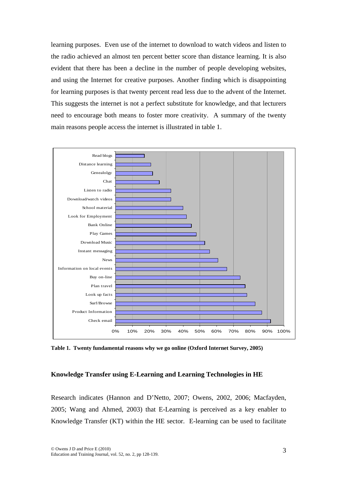learning purposes. Even use of the internet to download to watch videos and listen to the radio achieved an almost ten percent better score than distance learning. It is also evident that there has been a decline in the number of people developing websites, and using the Internet for creative purposes. Another finding which is disappointing for learning purposes is that twenty percent read less due to the advent of the Internet. This suggests the internet is not a perfect substitute for knowledge, and that lecturers need to encourage both means to foster more creativity. A summary of the twenty main reasons people access the internet is illustrated in table 1.



**Table 1. Twenty fundamental reasons why we go online (Oxford Internet Survey, 2005)** 

#### **Knowledge Transfer using E-Learning and Learning Technologies in HE**

Research indicates (Hannon and D'Netto, 2007; Owens, 2002, 2006; Macfayden, 2005; Wang and Ahmed, 2003) that E-Learning is perceived as a key enabler to Knowledge Transfer (KT) within the HE sector. E-learning can be used to facilitate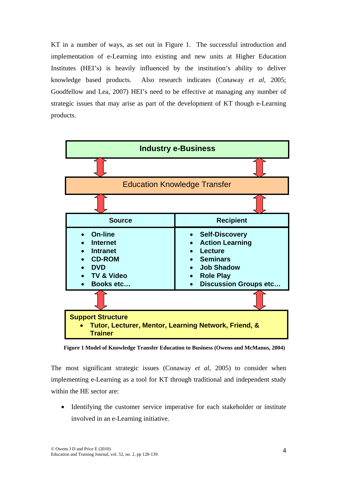KT in a number of ways, as set out in Figure 1. The successful introduction and implementation of e-Learning into existing and new units at Higher Education Institutes (HEI's) is heavily influenced by the institution's ability to deliver knowledge based products. Also research indicates (Conaway *et al*, 2005; Goodfellow and Lea, 2007) HEI's need to be effective at managing any number of strategic issues that may arise as part of the development of KT though e-Learning products.



**Figure 1 Model of Knowledge Transfer Education to Business (Owens and McManus, 2004)** 

The most significant strategic issues (Conaway *et al*, 2005) to consider when implementing e-Learning as a tool for KT through traditional and independent study within the HE sector are:

• Identifying the customer service imperative for each stakeholder or institute involved in an e-Learning initiative.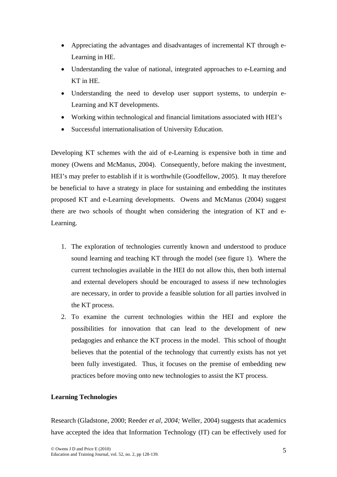- Appreciating the advantages and disadvantages of incremental KT through e-Learning in HE.
- Understanding the value of national, integrated approaches to e-Learning and KT in HE.
- Understanding the need to develop user support systems, to underpin e-Learning and KT developments.
- Working within technological and financial limitations associated with HEI's
- Successful internationalisation of University Education.

Developing KT schemes with the aid of e-Learning is expensive both in time and money (Owens and McManus, 2004). Consequently, before making the investment, HEI's may prefer to establish if it is worthwhile (Goodfellow, 2005). It may therefore be beneficial to have a strategy in place for sustaining and embedding the institutes proposed KT and e-Learning developments. Owens and McManus (2004) suggest there are two schools of thought when considering the integration of KT and e-Learning.

- 1. The exploration of technologies currently known and understood to produce sound learning and teaching KT through the model (see figure 1). Where the current technologies available in the HEI do not allow this, then both internal and external developers should be encouraged to assess if new technologies are necessary, in order to provide a feasible solution for all parties involved in the KT process.
- 2. To examine the current technologies within the HEI and explore the possibilities for innovation that can lead to the development of new pedagogies and enhance the KT process in the model. This school of thought believes that the potential of the technology that currently exists has not yet been fully investigated. Thus, it focuses on the premise of embedding new practices before moving onto new technologies to assist the KT process.

# **Learning Technologies**

Research (Gladstone, 2000; Reeder *et al, 2004;* Weller, 2004) suggests that academics have accepted the idea that Information Technology (IT) can be effectively used for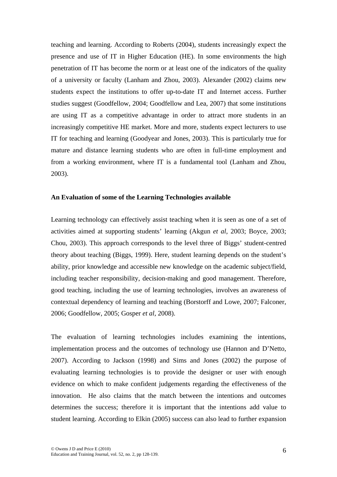teaching and learning. According to Roberts (2004), students increasingly expect the presence and use of IT in Higher Education (HE). In some environments the high penetration of IT has become the norm or at least one of the indicators of the quality of a university or faculty (Lanham and Zhou, 2003). Alexander (2002) claims new students expect the institutions to offer up-to-date IT and Internet access. Further studies suggest (Goodfellow, 2004; Goodfellow and Lea, 2007) that some institutions are using IT as a competitive advantage in order to attract more students in an increasingly competitive HE market. More and more, students expect lecturers to use IT for teaching and learning (Goodyear and Jones, 2003). This is particularly true for mature and distance learning students who are often in full-time employment and from a working environment, where IT is a fundamental tool (Lanham and Zhou, 2003).

#### **An Evaluation of some of the Learning Technologies available**

Learning technology can effectively assist teaching when it is seen as one of a set of activities aimed at supporting students' learning (Akgun *et al*, 2003; Boyce, 2003; Chou, 2003). This approach corresponds to the level three of Biggs' student-centred theory about teaching (Biggs, 1999). Here, student learning depends on the student's ability, prior knowledge and accessible new knowledge on the academic subject/field, including teacher responsibility, decision-making and good management. Therefore, good teaching, including the use of learning technologies, involves an awareness of contextual dependency of learning and teaching (Borstorff and Lowe, 2007; Falconer, 2006; Goodfellow, 2005; Gosper *et al*, 2008).

The evaluation of learning technologies includes examining the intentions, implementation process and the outcomes of technology use (Hannon and D'Netto, 2007). According to Jackson (1998) and Sims and Jones (2002) the purpose of evaluating learning technologies is to provide the designer or user with enough evidence on which to make confident judgements regarding the effectiveness of the innovation. He also claims that the match between the intentions and outcomes determines the success; therefore it is important that the intentions add value to student learning. According to Elkin (2005) success can also lead to further expansion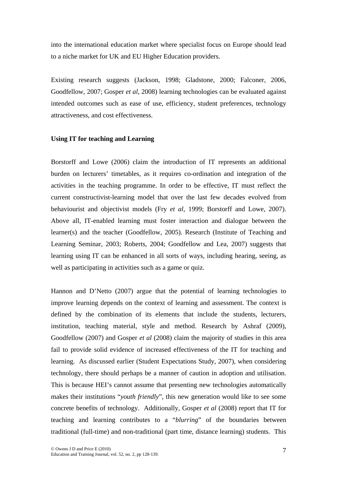into the international education market where specialist focus on Europe should lead to a niche market for UK and EU Higher Education providers.

Existing research suggests (Jackson, 1998; Gladstone, 2000; Falconer, 2006, Goodfellow, 2007; Gosper *et al*, 2008) learning technologies can be evaluated against intended outcomes such as ease of use, efficiency, student preferences, technology attractiveness, and cost effectiveness.

## **Using IT for teaching and Learning**

Borstorff and Lowe (2006) claim the introduction of IT represents an additional burden on lecturers' timetables, as it requires co-ordination and integration of the activities in the teaching programme. In order to be effective, IT must reflect the current constructivist-learning model that over the last few decades evolved from behaviourist and objectivist models (Fry *et al,* 1999; Borstorff and Lowe, 2007). Above all, IT-enabled learning must foster interaction and dialogue between the learner(s) and the teacher (Goodfellow, 2005). Research (Institute of Teaching and Learning Seminar, 2003; Roberts, 2004; Goodfellow and Lea, 2007) suggests that learning using IT can be enhanced in all sorts of ways, including hearing, seeing, as well as participating in activities such as a game or quiz.

Hannon and D'Netto (2007) argue that the potential of learning technologies to improve learning depends on the context of learning and assessment. The context is defined by the combination of its elements that include the students, lecturers, institution, teaching material, style and method. Research by Ashraf (2009), Goodfellow (2007) and Gosper *et al* (2008) claim the majority of studies in this area fail to provide solid evidence of increased effectiveness of the IT for teaching and learning. As discussed earlier (Student Expectations Study, 2007), when considering technology, there should perhaps be a manner of caution in adoption and utilisation. This is because HEI's cannot assume that presenting new technologies automatically makes their institutions "*youth friendly*", this new generation would like to see some concrete benefits of technology. Additionally, Gosper *et al* (2008) report that IT for teaching and learning contributes to a "*blurring*" of the boundaries between traditional (full-time) and non-traditional (part time, distance learning) students. This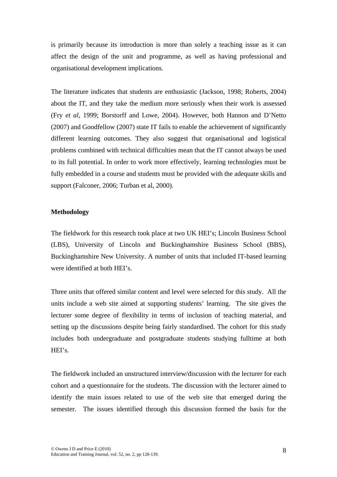is primarily because its introduction is more than solely a teaching issue as it can affect the design of the unit and programme, as well as having professional and organisational development implications.

The literature indicates that students are enthusiastic (Jackson, 1998; Roberts, 2004) about the IT, and they take the medium more seriously when their work is assessed (Fry *et al*, 1999; Borstorff and Lowe, 2004). However, both Hannon and D'Netto (2007) and Goodfellow (2007) state IT fails to enable the achievement of significantly different learning outcomes. They also suggest that organisational and logistical problems combined with technical difficulties mean that the IT cannot always be used to its full potential. In order to work more effectively, learning technologies must be fully embedded in a course and students must be provided with the adequate skills and support (Falconer, 2006; Turban et al, 2000).

#### **Methodology**

The fieldwork for this research took place at two UK HEI's; Lincoln Business School (LBS), University of Lincoln and Buckinghamshire Business School (BBS), Buckinghamshire New University. A number of units that included IT-based learning were identified at both HEI's.

Three units that offered similar content and level were selected for this study. All the units include a web site aimed at supporting students' learning. The site gives the lecturer some degree of flexibility in terms of inclusion of teaching material, and setting up the discussions despite being fairly standardised. The cohort for this study includes both undergraduate and postgraduate students studying fulltime at both HEI's.

The fieldwork included an unstructured interview/discussion with the lecturer for each cohort and a questionnaire for the students. The discussion with the lecturer aimed to identify the main issues related to use of the web site that emerged during the semester. The issues identified through this discussion formed the basis for the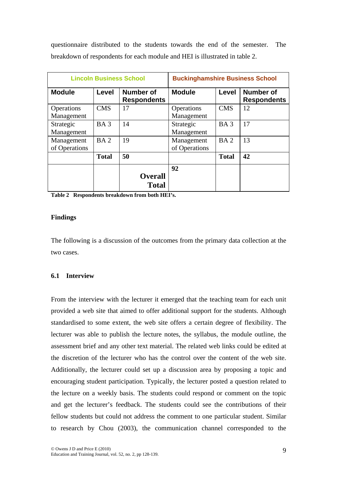questionnaire distributed to the students towards the end of the semester. The breakdown of respondents for each module and HEI is illustrated in table 2.

|                             |                 | <b>Lincoln Business School</b>         | <b>Buckinghamshire Business School</b> |                 |                                        |  |
|-----------------------------|-----------------|----------------------------------------|----------------------------------------|-----------------|----------------------------------------|--|
| <b>Module</b>               | Level           | <b>Number of</b><br><b>Respondents</b> | <b>Module</b>                          | Level           | <b>Number of</b><br><b>Respondents</b> |  |
| Operations<br>Management    | <b>CMS</b>      | 17                                     | Operations<br>Management               | <b>CMS</b>      | 12                                     |  |
| Strategic<br>Management     | BA <sub>3</sub> | 14                                     | Strategic<br>Management                | BA <sub>3</sub> | 17                                     |  |
| Management<br>of Operations | BA <sub>2</sub> | 19                                     | Management<br>of Operations            | BA <sub>2</sub> | 13                                     |  |
|                             | <b>Total</b>    | 50                                     |                                        | <b>Total</b>    | 42                                     |  |
|                             |                 | <b>Overall</b><br><b>Total</b>         | 92                                     |                 |                                        |  |

**Table 2 Respondents breakdown from both HEI's.** 

## **Findings**

The following is a discussion of the outcomes from the primary data collection at the two cases.

## **6.1 Interview**

From the interview with the lecturer it emerged that the teaching team for each unit provided a web site that aimed to offer additional support for the students. Although standardised to some extent, the web site offers a certain degree of flexibility. The lecturer was able to publish the lecture notes, the syllabus, the module outline, the assessment brief and any other text material. The related web links could be edited at the discretion of the lecturer who has the control over the content of the web site. Additionally, the lecturer could set up a discussion area by proposing a topic and encouraging student participation. Typically, the lecturer posted a question related to the lecture on a weekly basis. The students could respond or comment on the topic and get the lecturer's feedback. The students could see the contributions of their fellow students but could not address the comment to one particular student. Similar to research by Chou (2003), the communication channel corresponded to the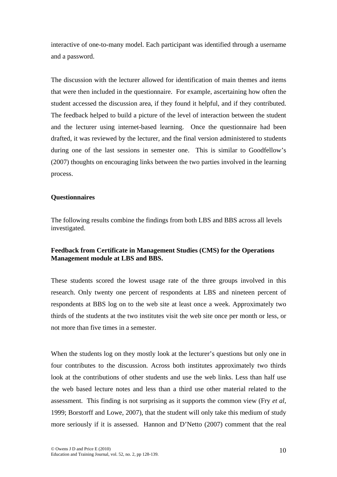interactive of one-to-many model. Each participant was identified through a username and a password.

The discussion with the lecturer allowed for identification of main themes and items that were then included in the questionnaire. For example, ascertaining how often the student accessed the discussion area, if they found it helpful, and if they contributed. The feedback helped to build a picture of the level of interaction between the student and the lecturer using internet-based learning. Once the questionnaire had been drafted, it was reviewed by the lecturer, and the final version administered to students during one of the last sessions in semester one. This is similar to Goodfellow's (2007) thoughts on encouraging links between the two parties involved in the learning process.

#### **Questionnaires**

The following results combine the findings from both LBS and BBS across all levels investigated.

# **Feedback from Certificate in Management Studies (CMS) for the Operations Management module at LBS and BBS.**

These students scored the lowest usage rate of the three groups involved in this research. Only twenty one percent of respondents at LBS and nineteen percent of respondents at BBS log on to the web site at least once a week. Approximately two thirds of the students at the two institutes visit the web site once per month or less, or not more than five times in a semester.

When the students log on they mostly look at the lecturer's questions but only one in four contributes to the discussion. Across both institutes approximately two thirds look at the contributions of other students and use the web links. Less than half use the web based lecture notes and less than a third use other material related to the assessment. This finding is not surprising as it supports the common view (Fry *et al*, 1999; Borstorff and Lowe, 2007), that the student will only take this medium of study more seriously if it is assessed. Hannon and D'Netto (2007) comment that the real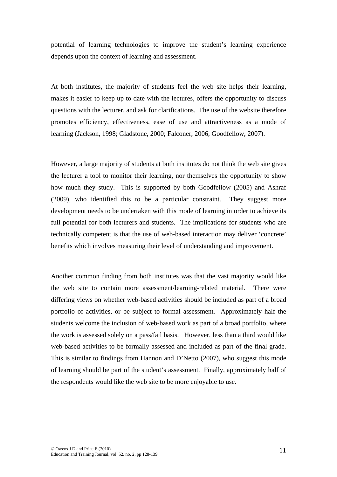potential of learning technologies to improve the student's learning experience depends upon the context of learning and assessment.

At both institutes, the majority of students feel the web site helps their learning, makes it easier to keep up to date with the lectures, offers the opportunity to discuss questions with the lecturer, and ask for clarifications. The use of the website therefore promotes efficiency, effectiveness, ease of use and attractiveness as a mode of learning (Jackson, 1998; Gladstone, 2000; Falconer, 2006, Goodfellow, 2007).

However, a large majority of students at both institutes do not think the web site gives the lecturer a tool to monitor their learning, nor themselves the opportunity to show how much they study. This is supported by both Goodfellow (2005) and Ashraf (2009), who identified this to be a particular constraint. They suggest more development needs to be undertaken with this mode of learning in order to achieve its full potential for both lecturers and students. The implications for students who are technically competent is that the use of web-based interaction may deliver 'concrete' benefits which involves measuring their level of understanding and improvement.

Another common finding from both institutes was that the vast majority would like the web site to contain more assessment/learning-related material. There were differing views on whether web-based activities should be included as part of a broad portfolio of activities, or be subject to formal assessment. Approximately half the students welcome the inclusion of web-based work as part of a broad portfolio, where the work is assessed solely on a pass/fail basis. However, less than a third would like web-based activities to be formally assessed and included as part of the final grade. This is similar to findings from Hannon and D'Netto (2007), who suggest this mode of learning should be part of the student's assessment. Finally, approximately half of the respondents would like the web site to be more enjoyable to use.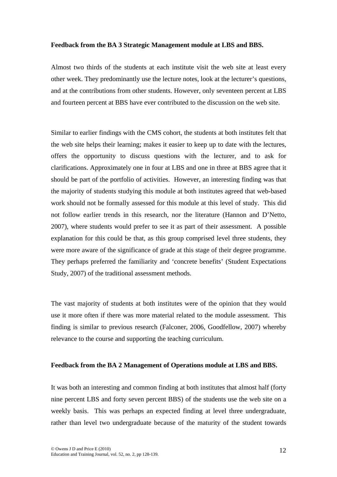#### **Feedback from the BA 3 Strategic Management module at LBS and BBS.**

Almost two thirds of the students at each institute visit the web site at least every other week. They predominantly use the lecture notes, look at the lecturer's questions, and at the contributions from other students. However, only seventeen percent at LBS and fourteen percent at BBS have ever contributed to the discussion on the web site.

Similar to earlier findings with the CMS cohort, the students at both institutes felt that the web site helps their learning; makes it easier to keep up to date with the lectures, offers the opportunity to discuss questions with the lecturer, and to ask for clarifications. Approximately one in four at LBS and one in three at BBS agree that it should be part of the portfolio of activities. However, an interesting finding was that the majority of students studying this module at both institutes agreed that web-based work should not be formally assessed for this module at this level of study. This did not follow earlier trends in this research, nor the literature (Hannon and D'Netto, 2007), where students would prefer to see it as part of their assessment. A possible explanation for this could be that, as this group comprised level three students, they were more aware of the significance of grade at this stage of their degree programme. They perhaps preferred the familiarity and 'concrete benefits' (Student Expectations Study, 2007) of the traditional assessment methods.

The vast majority of students at both institutes were of the opinion that they would use it more often if there was more material related to the module assessment. This finding is similar to previous research (Falconer, 2006, Goodfellow, 2007) whereby relevance to the course and supporting the teaching curriculum.

#### **Feedback from the BA 2 Management of Operations module at LBS and BBS.**

It was both an interesting and common finding at both institutes that almost half (forty nine percent LBS and forty seven percent BBS) of the students use the web site on a weekly basis. This was perhaps an expected finding at level three undergraduate, rather than level two undergraduate because of the maturity of the student towards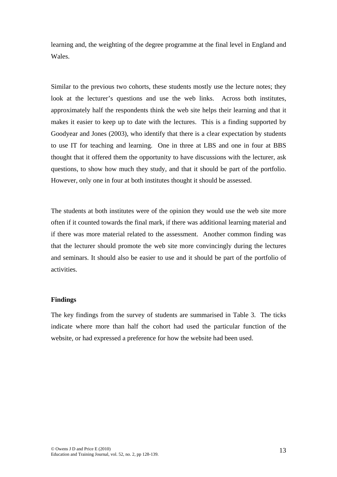learning and, the weighting of the degree programme at the final level in England and Wales.

Similar to the previous two cohorts, these students mostly use the lecture notes; they look at the lecturer's questions and use the web links. Across both institutes, approximately half the respondents think the web site helps their learning and that it makes it easier to keep up to date with the lectures. This is a finding supported by Goodyear and Jones (2003), who identify that there is a clear expectation by students to use IT for teaching and learning. One in three at LBS and one in four at BBS thought that it offered them the opportunity to have discussions with the lecturer, ask questions, to show how much they study, and that it should be part of the portfolio. However, only one in four at both institutes thought it should be assessed.

The students at both institutes were of the opinion they would use the web site more often if it counted towards the final mark, if there was additional learning material and if there was more material related to the assessment. Another common finding was that the lecturer should promote the web site more convincingly during the lectures and seminars. It should also be easier to use and it should be part of the portfolio of activities.

#### **Findings**

The key findings from the survey of students are summarised in Table 3. The ticks indicate where more than half the cohort had used the particular function of the website, or had expressed a preference for how the website had been used.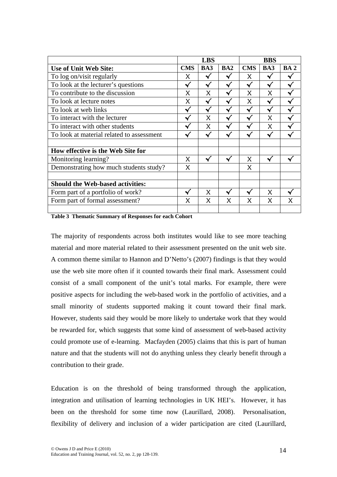|                                           | <b>LBS</b> |              |                 | <b>BBS</b> |              |                 |
|-------------------------------------------|------------|--------------|-----------------|------------|--------------|-----------------|
| <b>Use of Unit Web Site:</b>              |            | BA3          | BA <sub>2</sub> | <b>CMS</b> | BA3          | BA <sub>2</sub> |
| To log on/visit regularly                 | X          |              |                 | X          | ✔            |                 |
| To look at the lecturer's questions       |            |              |                 | √          |              |                 |
| To contribute to the discussion           |            | X            |                 | X          | X            |                 |
| To look at lecture notes                  |            |              |                 | $\times$   | $\checkmark$ |                 |
| To look at web links                      |            |              |                 |            | √            |                 |
| To interact with the lecturer             |            | $\times$     |                 |            | $\times$     |                 |
| To interact with other students           |            | $\times$     |                 |            | X            |                 |
| To look at material related to assessment |            |              |                 |            |              |                 |
| How effective is the Web Site for         |            |              |                 |            |              |                 |
| Monitoring learning?                      | X          |              |                 | X          |              |                 |
| Demonstrating how much students study?    | $\times$   |              |                 | $\times$   |              |                 |
| <b>Should the Web-based activities:</b>   |            |              |                 |            |              |                 |
| Form part of a portfolio of work?         |            | $\mathsf{X}$ |                 |            | X            |                 |
| Form part of formal assessment?           | X          | X            | X               | X          | X            | x               |
|                                           |            |              |                 |            |              |                 |

**Table 3 Thematic Summary of Responses for each Cohort** 

The majority of respondents across both institutes would like to see more teaching material and more material related to their assessment presented on the unit web site. A common theme similar to Hannon and D'Netto's (2007) findings is that they would use the web site more often if it counted towards their final mark. Assessment could consist of a small component of the unit's total marks. For example, there were positive aspects for including the web-based work in the portfolio of activities, and a small minority of students supported making it count toward their final mark. However, students said they would be more likely to undertake work that they would be rewarded for, which suggests that some kind of assessment of web-based activity could promote use of e-learning. Macfayden (2005) claims that this is part of human nature and that the students will not do anything unless they clearly benefit through a contribution to their grade.

Education is on the threshold of being transformed through the application, integration and utilisation of learning technologies in UK HEI's. However, it has been on the threshold for some time now (Laurillard, 2008). Personalisation, flexibility of delivery and inclusion of a wider participation are cited (Laurillard,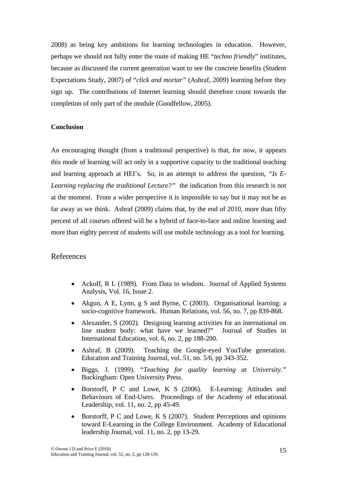2008) as being key ambitions for learning technologies in education. However, perhaps we should not fully enter the route of making HE "*techno friendly*" institutes, because as discussed the current generation want to see the concrete benefits (Student Expectations Study, 2007) of "*click and mortar"* (Ashraf, 2009) learning before they sign up. The contributions of Internet learning should therefore count towards the completion of only part of the module (Goodfellow, 2005).

# **Conclusion**

An encouraging thought (from a traditional perspective) is that, for now, it appears this mode of learning will act only in a supportive capacity to the traditional teaching and learning approach at HEI's. So, in an attempt to address the question, *"Is E-Learning replacing the traditional Lecture?"* the indication from this research is not at the moment. From a wider perspective it is impossible to say but it may not be as far away as we think. Ashraf (2009) claims that, by the end of 2010, more than fifty percent of all courses offered will be a hybrid of face-to-face and online learning and more than eighty percent of students will use mobile technology as a tool for learning.

## References

- Ackoff, R L (1989). From Data to wisdom. Journal of Applied Systems Analysis, Vol. 16, Issue 2.
- Akgun, A E, Lynn, g S and Byrne, C (2003). Organisational learning: a socio-cognitive framework. Human Relations, vol. 56, no. 7, pp 839-868.
- Alexander, S (2002). Designing learning activities for an international on line student body: what have we learned?" Journal of Studies in International Education, vol. 6, no. 2, pp 188-200.
- Ashraf, B (2009). Teaching the Google-eyed YouTube generation. Education and Training Journal, vol. 51, no. 5/6, pp 343-352.
- Biggs, J. (1999). "*Teaching for quality learning at University."*  Buckingham: Open University Press.
- Borstorff, P C and Lowe, K S (2006). E-Learning: Attitudes and Behaviours of End-Users. Proceedings of the Academy of educational Leadership, vol. 11, no. 2, pp 45-49.
- Borstorff, P C and Lowe, K S (2007). Student Perceptions and opinions toward E-Learning in the College Environment. Academy of Educational leadership Journal, vol. 11, no. 2, pp 13-29.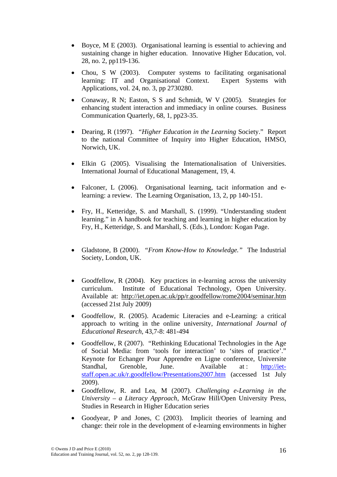- Boyce, M E (2003). Organisational learning is essential to achieving and sustaining change in higher education. Innovative Higher Education, vol. 28, no. 2, pp119-136.
- Chou, S W (2003). Computer systems to facilitating organisational learning: IT and Organisational Context. Expert Systems with Applications, vol. 24, no. 3, pp 2730280.
- Conaway, R N; Easton, S S and Schmidt, W V (2005). Strategies for enhancing student interaction and immediacy in online courses. Business Communication Quarterly, 68, 1, pp23-35.
- Dearing, R (1997). *"Higher Education in the Learning* Society." Report to the national Committee of Inquiry into Higher Education, HMSO, Norwich, UK.
- Elkin G (2005). Visualising the Internationalisation of Universities. International Journal of Educational Management, 19, 4.
- Falconer, L (2006). Organisational learning, tacit information and elearning: a review. The Learning Organisation, 13, 2, pp 140-151.
- Fry, H., Ketteridge, S. and Marshall, S. (1999). "Understanding student learning." in A handbook for teaching and learning in higher education by Fry, H., Ketteridge, S. and Marshall, S. (Eds.), London: Kogan Page.
- Gladstone, B (2000). *"From Know-How to Knowledge."* The Industrial Society, London, UK.
- Goodfellow, R (2004). Key practices in e-learning across the university curriculum. Institute of Educational Technology, Open University. Available at: <http://iet.open.ac.uk/pp/r.goodfellow/rome2004/seminar.htm> (accessed 21st July 2009)
- Goodfellow, R. (2005). Academic Literacies and e-Learning: a critical approach to writing in the online university, *International Journal of Educational Research*, 43,7-8: 481-494
- Goodfellow, R (2007). ["Rethinking Educational Technologies in the Age](http://w3.u-grenoble3.fr/epal/pdf/goodfellow.pdf)  [of Social Media: from 'tools for interaction' to 'sites of practice'.](http://w3.u-grenoble3.fr/epal/pdf/goodfellow.pdf)" Keynote for Echanger Pour Apprendre en Ligne conference, Universite Standhal, Grenoble, June. Available at : [http://iet](http://iet-staff.open.ac.uk/r.goodfellow/Presentations2007.htm)[staff.open.ac.uk/r.goodfellow/Presentations2007.htm](http://iet-staff.open.ac.uk/r.goodfellow/Presentations2007.htm) (accessed 1st July 2009).
- Goodfellow, R. and Lea, M (2007). *Challenging e-Learning in the University – a Literacy Approach*, McGraw Hill/Open University Press, Studies in Research in Higher Education series
- Goodyear, P and Jones, C (2003). Implicit theories of learning and change: their role in the development of e-learning environments in higher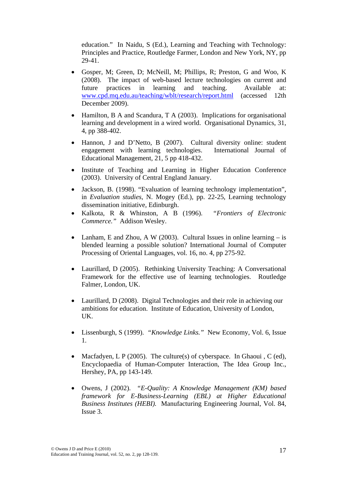education." In Naidu, S (Ed.), Learning and Teaching with Technology: Principles and Practice, Routledge Farmer, London and New York, NY, pp 29-41.

- Gosper, M; Green, D; McNeill, M; Phillips, R; Preston, G and Woo, K (2008). The impact of web-based lecture technologies on current and future practices in learning and teaching. Available at: [www.cpd.mq.edu.au/teaching/wblt/research/report.html](http://www.cpd.mq.edu.au/teaching/wblt/research/report.html) (accessed 12th December 2009).
- Hamilton, B A and Scandura, T A (2003). Implications for organisational learning and development in a wired world. Organisational Dynamics, 31, 4, pp 388-402.
- Hannon, J and D'Netto, B (2007). Cultural diversity online: student engagement with learning technologies. International Journal of Educational Management, 21, 5 pp 418-432.
- Institute of Teaching and Learning in Higher Education Conference (2003). University of Central England January.
- Jackson, B. (1998). "Evaluation of learning technology implementation", in *Evaluation studies*, N. Mogey (Ed.), pp. 22-25, Learning technology dissemination initiative, Edinburgh.
- Kalkota, R & Whinston, A B (1996). *"Frontiers of Electronic Commerce."* Addison Wesley.
- Lanham, E and Zhou, A W (2003). Cultural Issues in online learning  $-$  is blended learning a possible solution? International Journal of Computer Processing of Oriental Languages, vol. 16, no. 4, pp 275-92.
- Laurillard, D (2005). Rethinking University Teaching: A Conversational Framework for the effective use of learning technologies. Routledge Falmer, London, UK.
- Laurillard, D (2008). Digital Technologies and their role in achieving our ambitions for education. Institute of Education, University of London, UK.
- Lissenburgh, S (1999). *"Knowledge Links."* New Economy, Vol. 6, Issue 1.
- Macfadyen, L P (2005). The culture(s) of cyberspace. In Ghaoui , C (ed), Encyclopaedia of Human-Computer Interaction, The Idea Group Inc., Hershey, PA, pp 143-149.
- Owens, J (2002). *"E-Quality: A Knowledge Management (KM) based framework for E-Business-Learning (EBL) at Higher Educational Business Institutes (HEBI).* Manufacturing Engineering Journal, Vol. 84, Issue 3.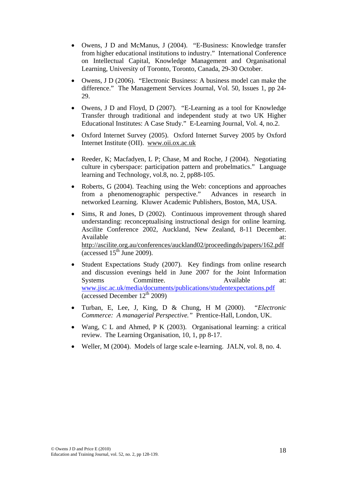- Owens, J D and McManus, J (2004). "E-Business: Knowledge transfer from higher educational institutions to industry." International Conference on Intellectual Capital, Knowledge Management and Organisational Learning, University of Toronto, Toronto, Canada, 29-30 October.
- Owens, J D (2006). "Electronic Business: A business model can make the difference." The Management Services Journal, Vol. 50, Issues 1, pp 24- 29.
- Owens, J D and Floyd, D (2007). "E-Learning as a tool for Knowledge Transfer through traditional and independent study at two UK Higher Educational Institutes: A Case Study." E-Learning Journal, Vol. 4, no.2.
- Oxford Internet Survey (2005). Oxford Internet Survey 2005 by Oxford Internet Institute (OII). [www.oii.ox.ac.uk](http://www.oii.ox.ac.uk/)
- Reeder, K; Macfadyen, L P; Chase, M and Roche, J (2004). Negotiating culture in cyberspace: participation pattern and probelmatics." Language learning and Technology, vol.8, no. 2, pp88-105.
- Roberts, G (2004). Teaching using the Web: conceptions and approaches from a phenomenographic perspective." Advances in research in networked Learning. Kluwer Academic Publishers, Boston, MA, USA.
- Sims, R and Jones, D (2002). Continuous improvement through shared understanding: reconceptualising instructional design for online learning. Ascilite Conference 2002, Auckland, New Zealand, 8-11 December. Available at:  $\overline{a}$  at:  $\overline{a}$  at:  $\overline{a}$  at:  $\overline{a}$  at:  $\overline{a}$ <http://ascilite.org.au/conferences/auckland02/proceedingds/papers/162.pdf>  $\frac{1}{2}$  (accessed 15<sup>th</sup> June 2009).
- Student Expectations Study (2007). Key findings from online research and discussion evenings held in June 2007 for the Joint Information Systems Committee. Available at: [www.jisc.ac.uk/media/documents/publications/studentexpectations.pdf](http://www.jisc.ac.uk/media/documents/publications/studentexpectations.pdf)  $\sqrt{\text{(accessed December 12}^{\text{th}} 2009)}$
- Turban, E, Lee, J, King, D & Chung, H M (2000). *"Electronic Commerce: A managerial Perspective."* Prentice-Hall, London, UK.
- Wang, C L and Ahmed, P K (2003). Organisational learning: a critical review. The Learning Organisation, 10, 1, pp 8-17.
- Weller, M (2004). Models of large scale e-learning. JALN, vol. 8, no. 4.